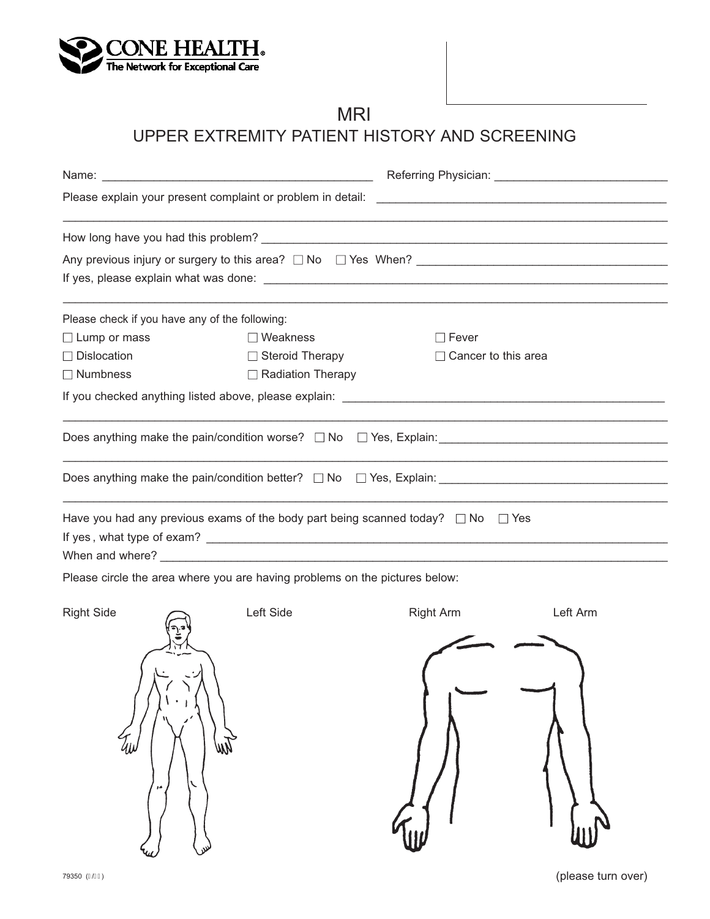

# MRI

## UPPER EXTREMITY PATIENT HISTORY AND SCREENING

| Please check if you have any of the following:                              |                                                                                            |                            |  |  |
|-----------------------------------------------------------------------------|--------------------------------------------------------------------------------------------|----------------------------|--|--|
| $\Box$ Lump or mass                                                         | $\Box$ Weakness                                                                            | $\Box$ Fever               |  |  |
| $\Box$ Dislocation                                                          | $\Box$ Steroid Therapy                                                                     | $\Box$ Cancer to this area |  |  |
| $\Box$ Numbness                                                             | $\Box$ Radiation Therapy                                                                   |                            |  |  |
|                                                                             |                                                                                            |                            |  |  |
|                                                                             |                                                                                            |                            |  |  |
|                                                                             |                                                                                            |                            |  |  |
|                                                                             | Have you had any previous exams of the body part being scanned today? $\Box$ No $\Box$ Yes |                            |  |  |
|                                                                             |                                                                                            |                            |  |  |
|                                                                             | When and where? $\overline{\phantom{a}}$                                                   |                            |  |  |
| Please circle the area where you are having problems on the pictures below: |                                                                                            |                            |  |  |